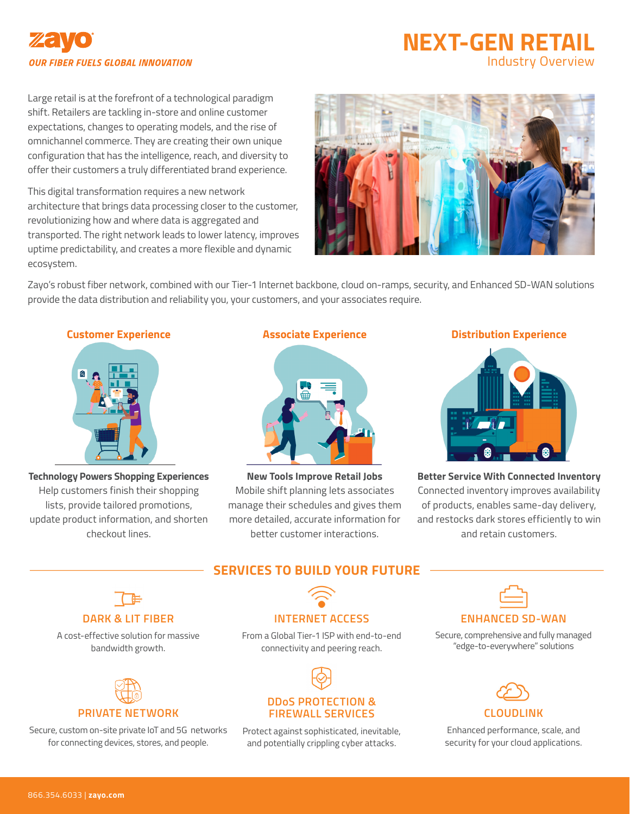# **OUR FIBER FUELS GLOBAL INNOVATION**

# **NEXT-GEN RETAIL**  Industry Overview

Large retail is at the forefront of a technological paradigm shift. Retailers are tackling in-store and online customer expectations, changes to operating models, and the rise of omnichannel commerce. They are creating their own unique configuration that has the intelligence, reach, and diversity to offer their customers a truly differentiated brand experience.

This digital transformation requires a new network architecture that brings data processing closer to the customer, revolutionizing how and where data is aggregated and transported. The right network leads to lower latency, improves uptime predictability, and creates a more flexible and dynamic ecosystem.



Zayo's robust fiber network, combined with our Tier-1 Internet backbone, cloud on-ramps, security, and Enhanced SD-WAN solutions provide the data distribution and reliability you, your customers, and your associates require.



**Technology Powers Shopping Experiences** Help customers finish their shopping lists, provide tailored promotions, update product information, and shorten checkout lines.



**New Tools Improve Retail Jobs** Mobile shift planning lets associates manage their schedules and gives them more detailed, accurate information for better customer interactions.

#### **Customer Experience Associate Experience Distribution Experience**



**Better Service With Connected Inventory** Connected inventory improves availability of products, enables same-day delivery, and restocks dark stores efficiently to win and retain customers.

# **SERVICES TO BUILD YOUR FUTURE**



### **DARK & LIT FIBER**

A cost-effective solution for massive bandwidth growth.



# Secure, custom on-site private IoT and 5G networks

for connecting devices, stores, and people.

# **INTERNET ACCESS**

From a Global Tier-1 ISP with end-to-end connectivity and peering reach.



### Protect against sophisticated, inevitable, and potentially crippling cyber attacks.

#### **ENHANCED SD-WAN**

Secure, comprehensive and fully managed "edge-to-everywhere" solutions



Enhanced performance, scale, and security for your cloud applications.